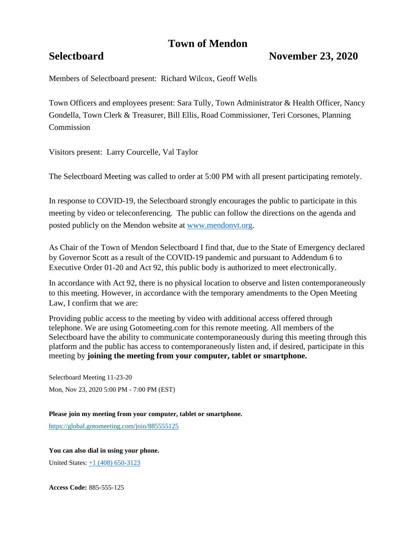# **Town of Mendon**

# **Selectboard November 23, 2020**

Members of Selectboard present: Richard Wilcox, Geoff Wells

Town Officers and employees present: Sara Tully, Town Administrator & Health Officer, Nancy Gondella, Town Clerk & Treasurer, Bill Ellis, Road Commissioner, Teri Corsones, Planning **Commission** 

Visitors present: Larry Courcelle, Val Taylor

The Selectboard Meeting was called to order at 5:00 PM with all present participating remotely.

In response to COVID-19, the Selectboard strongly encourages the public to participate in this meeting by video or teleconferencing. The public can follow the directions on the agenda and posted publicly on the Mendon website at [www.mendonvt.org.](http://www.mendonvt.org/)

As Chair of the Town of Mendon Selectboard I find that, due to the State of Emergency declared by Governor Scott as a result of the COVID-19 pandemic and pursuant to Addendum 6 to Executive Order 01-20 and Act 92, this public body is authorized to meet electronically.

In accordance with Act 92, there is no physical location to observe and listen contemporaneously to this meeting. However, in accordance with the temporary amendments to the Open Meeting Law, I confirm that we are:

Providing public access to the meeting by video with additional access offered through telephone. We are using Gotomeeting.com for this remote meeting. All members of the Selectboard have the ability to communicate contemporaneously during this meeting through this platform and the public has access to contemporaneously listen and, if desired, participate in this meeting by **joining the meeting from your computer, tablet or smartphone.** 

Selectboard Meeting 11-23-20 Mon, Nov 23, 2020 5:00 PM - 7:00 PM (EST)

**Please join my meeting from your computer, tablet or smartphone.** 

<https://global.gotomeeting.com/join/885555125>

### **You can also dial in using your phone.**

United States: [+1 \(408\) 650-3123](tel:+14086503123,,885555125)

**Access Code:** 885-555-125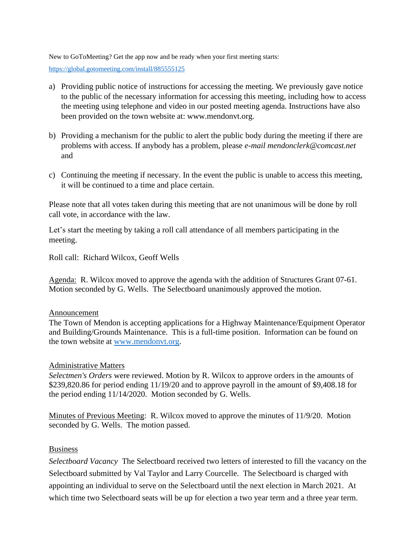New to GoToMeeting? Get the app now and be ready when your first meeting starts:

<https://global.gotomeeting.com/install/885555125>

- a) Providing public notice of instructions for accessing the meeting. We previously gave notice to the public of the necessary information for accessing this meeting, including how to access the meeting using telephone and video in our posted meeting agenda. Instructions have also been provided on the town website at: www.mendonvt.org.
- b) Providing a mechanism for the public to alert the public body during the meeting if there are problems with access. If anybody has a problem, please *e-mail mendonclerk@comcast.net* and
- c) Continuing the meeting if necessary. In the event the public is unable to access this meeting, it will be continued to a time and place certain.

Please note that all votes taken during this meeting that are not unanimous will be done by roll call vote, in accordance with the law.

Let's start the meeting by taking a roll call attendance of all members participating in the meeting.

Roll call: Richard Wilcox, Geoff Wells

Agenda: R. Wilcox moved to approve the agenda with the addition of Structures Grant 07-61. Motion seconded by G. Wells. The Selectboard unanimously approved the motion.

## Announcement

The Town of Mendon is accepting applications for a Highway Maintenance/Equipment Operator and Building/Grounds Maintenance. This is a full-time position. Information can be found on the town website at [www.mendonvt.org.](http://www.mendonvt.org/)

# Administrative Matters

*Selectmen's Orders* were reviewed. Motion by R. Wilcox to approve orders in the amounts of \$239,820.86 for period ending 11/19/20 and to approve payroll in the amount of \$9,408.18 for the period ending 11/14/2020. Motion seconded by G. Wells.

Minutes of Previous Meeting: R. Wilcox moved to approve the minutes of 11/9/20. Motion seconded by G. Wells. The motion passed.

## Business

*Selectboard Vacancy* The Selectboard received two letters of interested to fill the vacancy on the Selectboard submitted by Val Taylor and Larry Courcelle. The Selectboard is charged with appointing an individual to serve on the Selectboard until the next election in March 2021. At which time two Selectboard seats will be up for election a two year term and a three year term.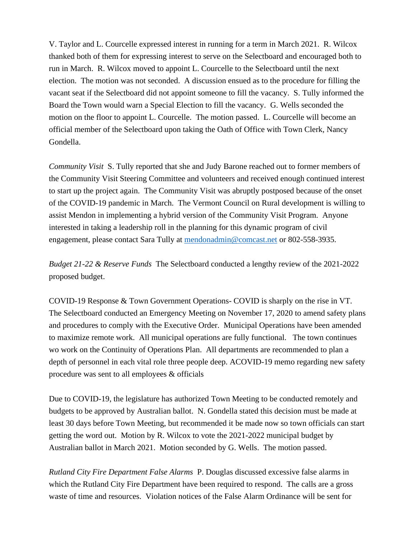V. Taylor and L. Courcelle expressed interest in running for a term in March 2021. R. Wilcox thanked both of them for expressing interest to serve on the Selectboard and encouraged both to run in March. R. Wilcox moved to appoint L. Courcelle to the Selectboard until the next election. The motion was not seconded. A discussion ensued as to the procedure for filling the vacant seat if the Selectboard did not appoint someone to fill the vacancy. S. Tully informed the Board the Town would warn a Special Election to fill the vacancy. G. Wells seconded the motion on the floor to appoint L. Courcelle. The motion passed. L. Courcelle will become an official member of the Selectboard upon taking the Oath of Office with Town Clerk, Nancy Gondella.

*Community Visit* S. Tully reported that she and Judy Barone reached out to former members of the Community Visit Steering Committee and volunteers and received enough continued interest to start up the project again. The Community Visit was abruptly postposed because of the onset of the COVID-19 pandemic in March. The Vermont Council on Rural development is willing to assist Mendon in implementing a hybrid version of the Community Visit Program. Anyone interested in taking a leadership roll in the planning for this dynamic program of civil engagement, please contact Sara Tully at [mendonadmin@comcast.net](mailto:mendonadmin@comcast.net) or 802-558-3935.

*Budget 21-22 & Reserve Funds* The Selectboard conducted a lengthy review of the 2021-2022 proposed budget.

COVID-19 Response & Town Government Operations- COVID is sharply on the rise in VT. The Selectboard conducted an Emergency Meeting on November 17, 2020 to amend safety plans and procedures to comply with the Executive Order. Municipal Operations have been amended to maximize remote work. All municipal operations are fully functional. The town continues wo work on the Continuity of Operations Plan. All departments are recommended to plan a depth of personnel in each vital role three people deep. ACOVID-19 memo regarding new safety procedure was sent to all employees & officials

Due to COVID-19, the legislature has authorized Town Meeting to be conducted remotely and budgets to be approved by Australian ballot. N. Gondella stated this decision must be made at least 30 days before Town Meeting, but recommended it be made now so town officials can start getting the word out. Motion by R. Wilcox to vote the 2021-2022 municipal budget by Australian ballot in March 2021. Motion seconded by G. Wells. The motion passed.

*Rutland City Fire Department False Alarms* P. Douglas discussed excessive false alarms in which the Rutland City Fire Department have been required to respond. The calls are a gross waste of time and resources. Violation notices of the False Alarm Ordinance will be sent for